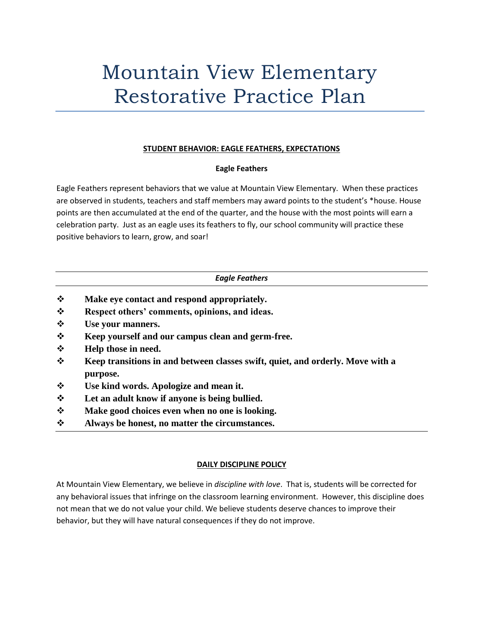# Mountain View Elementary Restorative Practice Plan

# **STUDENT BEHAVIOR: EAGLE FEATHERS, EXPECTATIONS**

## **Eagle Feathers**

Eagle Feathers represent behaviors that we value at Mountain View Elementary. When these practices are observed in students, teachers and staff members may award points to the student's \*house. House points are then accumulated at the end of the quarter, and the house with the most points will earn a celebration party. Just as an eagle uses its feathers to fly, our school community will practice these positive behaviors to learn, grow, and soar!

# *Eagle Feathers*

- ❖ **Make eye contact and respond appropriately.**
- ❖ **Respect others' comments, opinions, and ideas.**
- ❖ **Use your manners.**
- ❖ **Keep yourself and our campus clean and germ-free.**
- ❖ **Help those in need.**
- ❖ **Keep transitions in and between classes swift, quiet, and orderly. Move with a purpose.**
- ❖ **Use kind words. Apologize and mean it.**
- ❖ **Let an adult know if anyone is being bullied.**
- ❖ **Make good choices even when no one is looking.**
- ❖ **Always be honest, no matter the circumstances.**

# **DAILY DISCIPLINE POLICY**

At Mountain View Elementary, we believe in *discipline with love*. That is, students will be corrected for any behavioral issues that infringe on the classroom learning environment. However, this discipline does not mean that we do not value your child. We believe students deserve chances to improve their behavior, but they will have natural consequences if they do not improve.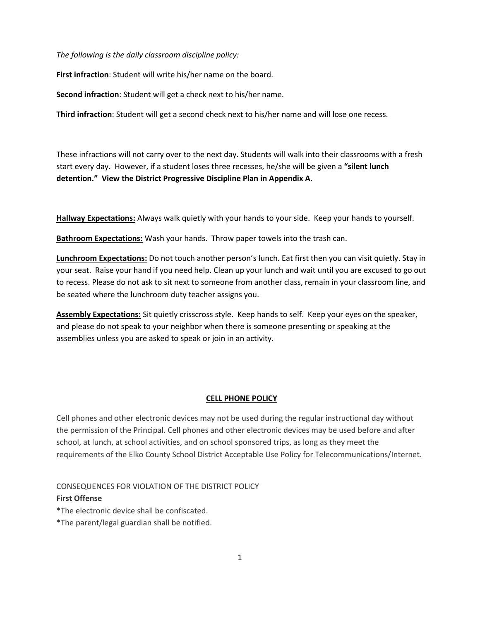*The following is the daily classroom discipline policy:*

**First infraction**: Student will write his/her name on the board.

**Second infraction**: Student will get a check next to his/her name.

**Third infraction**: Student will get a second check next to his/her name and will lose one recess.

These infractions will not carry over to the next day. Students will walk into their classrooms with a fresh start every day. However, if a student loses three recesses, he/she will be given a **"silent lunch detention." View the District Progressive Discipline Plan in Appendix A.**

**Hallway Expectations:** Always walk quietly with your hands to your side. Keep your hands to yourself.

**Bathroom Expectations:** Wash your hands. Throw paper towels into the trash can.

**Lunchroom Expectations:** Do not touch another person's lunch. Eat first then you can visit quietly. Stay in your seat. Raise your hand if you need help. Clean up your lunch and wait until you are excused to go out to recess. Please do not ask to sit next to someone from another class, remain in your classroom line, and be seated where the lunchroom duty teacher assigns you.

**Assembly Expectations:** Sit quietly crisscross style. Keep hands to self. Keep your eyes on the speaker, and please do not speak to your neighbor when there is someone presenting or speaking at the assemblies unless you are asked to speak or join in an activity.

#### **CELL PHONE POLICY**

Cell phones and other electronic devices may not be used during the regular instructional day without the permission of the Principal. Cell phones and other electronic devices may be used before and after school, at lunch, at school activities, and on school sponsored trips, as long as they meet the requirements of the Elko County School District Acceptable Use Policy for Telecommunications/Internet.

CONSEQUENCES FOR VIOLATION OF THE DISTRICT POLICY

#### **First Offense**

\*The electronic device shall be confiscated.

\*The parent/legal guardian shall be notified.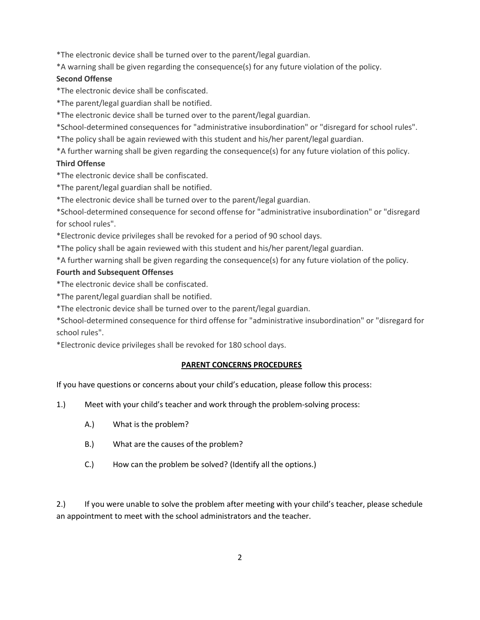\*The electronic device shall be turned over to the parent/legal guardian.

\*A warning shall be given regarding the consequence(s) for any future violation of the policy.

## **Second Offense**

\*The electronic device shall be confiscated.

\*The parent/legal guardian shall be notified.

\*The electronic device shall be turned over to the parent/legal guardian.

\*School-determined consequences for "administrative insubordination" or "disregard for school rules".

\*The policy shall be again reviewed with this student and his/her parent/legal guardian.

\*A further warning shall be given regarding the consequence(s) for any future violation of this policy.

## **Third Offense**

\*The electronic device shall be confiscated.

\*The parent/legal guardian shall be notified.

\*The electronic device shall be turned over to the parent/legal guardian.

\*School-determined consequence for second offense for "administrative insubordination" or "disregard for school rules".

\*Electronic device privileges shall be revoked for a period of 90 school days.

\*The policy shall be again reviewed with this student and his/her parent/legal guardian.

\*A further warning shall be given regarding the consequence(s) for any future violation of the policy.

## **Fourth and Subsequent Offenses**

\*The electronic device shall be confiscated.

\*The parent/legal guardian shall be notified.

\*The electronic device shall be turned over to the parent/legal guardian.

\*School-determined consequence for third offense for "administrative insubordination" or "disregard for school rules".

\*Electronic device privileges shall be revoked for 180 school days.

## **PARENT CONCERNS PROCEDURES**

If you have questions or concerns about your child's education, please follow this process:

1.) Meet with your child's teacher and work through the problem-solving process:

- A.) What is the problem?
- B.) What are the causes of the problem?
- C.) How can the problem be solved? (Identify all the options.)

2.) If you were unable to solve the problem after meeting with your child's teacher, please schedule an appointment to meet with the school administrators and the teacher.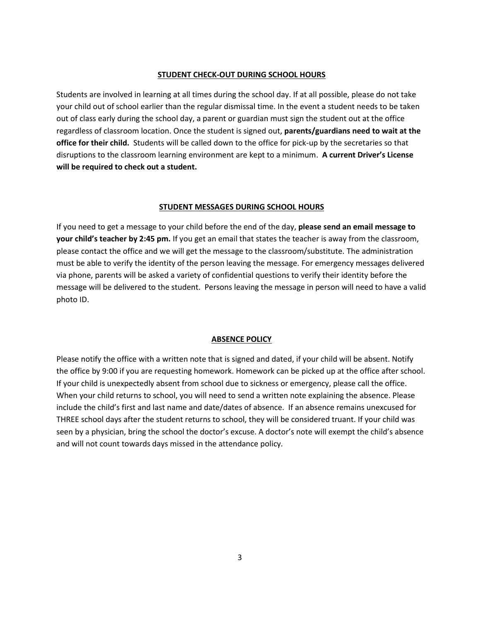#### **STUDENT CHECK-OUT DURING SCHOOL HOURS**

Students are involved in learning at all times during the school day. If at all possible, please do not take your child out of school earlier than the regular dismissal time. In the event a student needs to be taken out of class early during the school day, a parent or guardian must sign the student out at the office regardless of classroom location. Once the student is signed out, **parents/guardians need to wait at the office for their child.** Students will be called down to the office for pick-up by the secretaries so that disruptions to the classroom learning environment are kept to a minimum. **A current Driver's License will be required to check out a student.** 

#### **STUDENT MESSAGES DURING SCHOOL HOURS**

If you need to get a message to your child before the end of the day, **please send an email message to your child's teacher by 2:45 pm.** If you get an email that states the teacher is away from the classroom, please contact the office and we will get the message to the classroom/substitute. The administration must be able to verify the identity of the person leaving the message. For emergency messages delivered via phone, parents will be asked a variety of confidential questions to verify their identity before the message will be delivered to the student. Persons leaving the message in person will need to have a valid photo ID.

### **ABSENCE POLICY**

Please notify the office with a written note that is signed and dated, if your child will be absent. Notify the office by 9:00 if you are requesting homework. Homework can be picked up at the office after school. If your child is unexpectedly absent from school due to sickness or emergency, please call the office. When your child returns to school, you will need to send a written note explaining the absence. Please include the child's first and last name and date/dates of absence. If an absence remains unexcused for THREE school days after the student returns to school, they will be considered truant. If your child was seen by a physician, bring the school the doctor's excuse. A doctor's note will exempt the child's absence and will not count towards days missed in the attendance policy*.*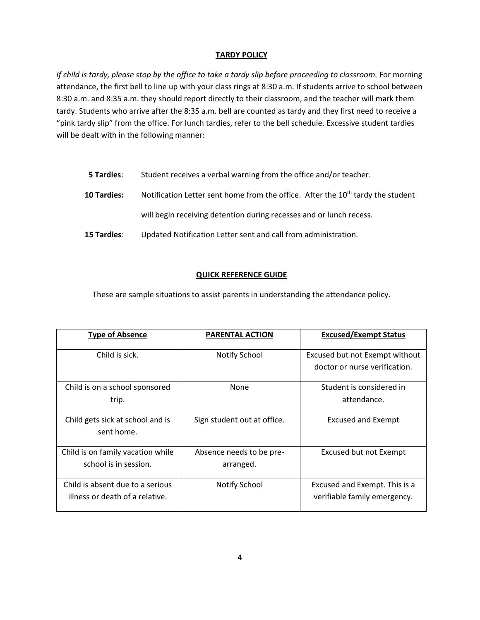## **TARDY POLICY**

*If child is tardy, please stop by the office to take a tardy slip before proceeding to classroom.* For morning attendance, the first bell to line up with your class rings at 8:30 a.m. If students arrive to school between 8:30 a.m. and 8:35 a.m. they should report directly to their classroom, and the teacher will mark them tardy. Students who arrive after the 8:35 a.m. bell are counted as tardy and they first need to receive a "pink tardy slip" from the office. For lunch tardies, refer to the bell schedule. Excessive student tardies will be dealt with in the following manner:

| <b>5 Tardies:</b> | Student receives a verbal warning from the office and/or teacher.                           |
|-------------------|---------------------------------------------------------------------------------------------|
| 10 Tardies:       | Notification Letter sent home from the office. After the 10 <sup>th</sup> tardy the student |
|                   | will begin receiving detention during recesses and or lunch recess.                         |
| 15 Tardies:       | Updated Notification Letter sent and call from administration.                              |

## **QUICK REFERENCE GUIDE**

These are sample situations to assist parents in understanding the attendance policy.

| <b>Type of Absence</b>                                              | <b>PARENTAL ACTION</b>                | <b>Excused/Exempt Status</b>                                    |
|---------------------------------------------------------------------|---------------------------------------|-----------------------------------------------------------------|
| Child is sick.                                                      | Notify School                         | Excused but not Exempt without<br>doctor or nurse verification. |
| Child is on a school sponsored<br>trip.                             | <b>None</b>                           | Student is considered in<br>attendance.                         |
| Child gets sick at school and is<br>sent home.                      | Sign student out at office.           | <b>Excused and Exempt</b>                                       |
| Child is on family vacation while<br>school is in session.          | Absence needs to be pre-<br>arranged. | Excused but not Exempt                                          |
| Child is absent due to a serious<br>illness or death of a relative. | <b>Notify School</b>                  | Excused and Exempt. This is a<br>verifiable family emergency.   |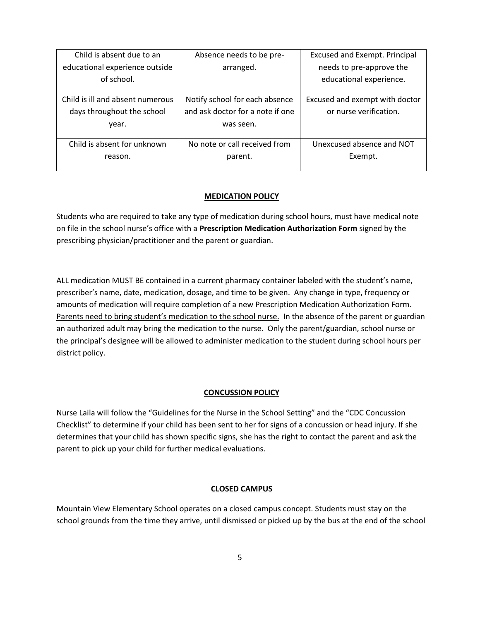| Child is absent due to an        | Absence needs to be pre-         | <b>Excused and Exempt. Principal</b> |
|----------------------------------|----------------------------------|--------------------------------------|
| educational experience outside   | arranged.                        | needs to pre-approve the             |
| of school.                       |                                  | educational experience.              |
| Child is ill and absent numerous | Notify school for each absence   | Excused and exempt with doctor       |
| days throughout the school       | and ask doctor for a note if one | or nurse verification.               |
| year.                            | was seen.                        |                                      |
| Child is absent for unknown      | No note or call received from    | Unexcused absence and NOT            |
| reason.                          | parent.                          | Exempt.                              |

## **MEDICATION POLICY**

Students who are required to take any type of medication during school hours, must have medical note on file in the school nurse's office with a **Prescription Medication Authorization Form** signed by the prescribing physician/practitioner and the parent or guardian.

ALL medication MUST BE contained in a current pharmacy container labeled with the student's name, prescriber's name, date, medication, dosage, and time to be given. Any change in type, frequency or amounts of medication will require completion of a new Prescription Medication Authorization Form. Parents need to bring student's medication to the school nurse. In the absence of the parent or guardian an authorized adult may bring the medication to the nurse. Only the parent/guardian, school nurse or the principal's designee will be allowed to administer medication to the student during school hours per district policy.

## **CONCUSSION POLICY**

Nurse Laila will follow the "Guidelines for the Nurse in the School Setting" and the "CDC Concussion Checklist" to determine if your child has been sent to her for signs of a concussion or head injury. If she determines that your child has shown specific signs, she has the right to contact the parent and ask the parent to pick up your child for further medical evaluations.

## **CLOSED CAMPUS**

Mountain View Elementary School operates on a closed campus concept. Students must stay on the school grounds from the time they arrive, until dismissed or picked up by the bus at the end of the school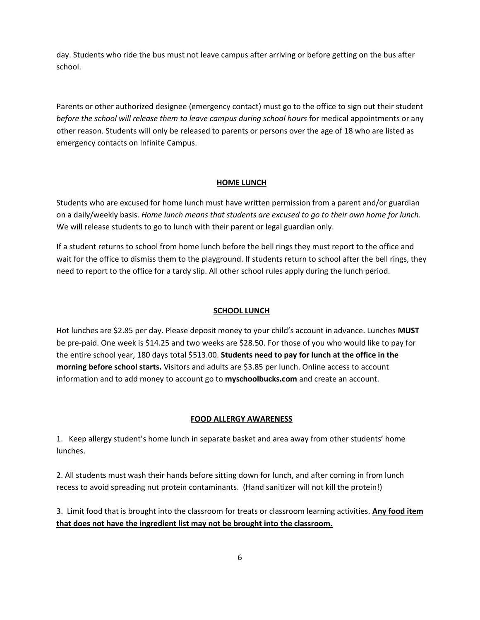day. Students who ride the bus must not leave campus after arriving or before getting on the bus after school.

Parents or other authorized designee (emergency contact) must go to the office to sign out their student *before the school will release them to leave campus during school hours* for medical appointments or any other reason. Students will only be released to parents or persons over the age of 18 who are listed as emergency contacts on Infinite Campus.

## **HOME LUNCH**

Students who are excused for home lunch must have written permission from a parent and/or guardian on a daily/weekly basis. *Home lunch means that students are excused to go to their own home for lunch.* We will release students to go to lunch with their parent or legal guardian only.

If a student returns to school from home lunch before the bell rings they must report to the office and wait for the office to dismiss them to the playground. If students return to school after the bell rings, they need to report to the office for a tardy slip. All other school rules apply during the lunch period.

## **SCHOOL LUNCH**

Hot lunches are \$2.85 per day. Please deposit money to your child's account in advance. Lunches **MUST**  be pre-paid. One week is \$14.25 and two weeks are \$28.50. For those of you who would like to pay for the entire school year, 180 days total \$513.00. **Students need to pay for lunch at the office in the morning before school starts.** Visitors and adults are \$3.85 per lunch. Online access to account information and to add money to account go to **myschoolbucks.com** and create an account.

## **FOOD ALLERGY AWARENESS**

1. Keep allergy student's home lunch in separate basket and area away from other students' home lunches.

2. All students must wash their hands before sitting down for lunch, and after coming in from lunch recess to avoid spreading nut protein contaminants. (Hand sanitizer will not kill the protein!)

3. Limit food that is brought into the classroom for treats or classroom learning activities. **Any food item that does not have the ingredient list may not be brought into the classroom.**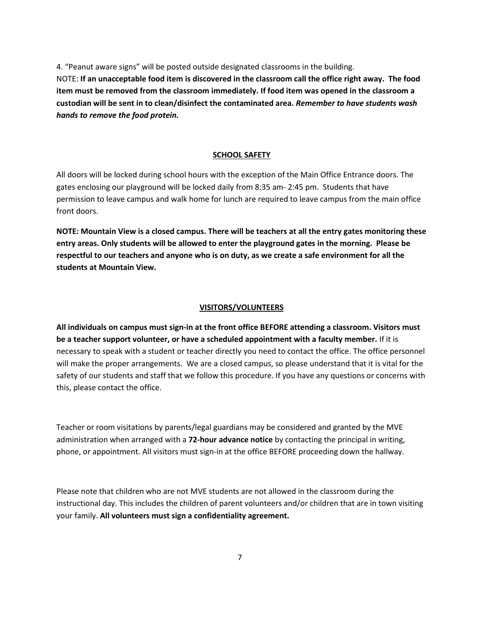4. "Peanut aware signs" will be posted outside designated classrooms in the building. NOTE: **If an unacceptable food item is discovered in the classroom call the office right away. The food item must be removed from the classroom immediately. If food item was opened in the classroom a custodian will be sent in to clean/disinfect the contaminated area.** *Remember to have students wash hands to remove the food protein.*

## **SCHOOL SAFETY**

All doors will be locked during school hours with the exception of the Main Office Entrance doors. The gates enclosing our playground will be locked daily from 8:35 am- 2:45 pm. Students that have permission to leave campus and walk home for lunch are required to leave campus from the main office front doors.

**NOTE: Mountain View is a closed campus. There will be teachers at all the entry gates monitoring these entry areas. Only students will be allowed to enter the playground gates in the morning. Please be respectful to our teachers and anyone who is on duty, as we create a safe environment for all the students at Mountain View.** 

#### **VISITORS/VOLUNTEERS**

**All individuals on campus must sign-in at the front office BEFORE attending a classroom. Visitors must be a teacher support volunteer, or have a scheduled appointment with a faculty member.** If it is necessary to speak with a student or teacher directly you need to contact the office. The office personnel will make the proper arrangements. We are a closed campus, so please understand that it is vital for the safety of our students and staff that we follow this procedure. If you have any questions or concerns with this, please contact the office.

Teacher or room visitations by parents/legal guardians may be considered and granted by the MVE administration when arranged with a **72-hour advance notice** by contacting the principal in writing, phone, or appointment. All visitors must sign-in at the office BEFORE proceeding down the hallway.

Please note that children who are not MVE students are not allowed in the classroom during the instructional day. This includes the children of parent volunteers and/or children that are in town visiting your family. **All volunteers must sign a confidentiality agreement.**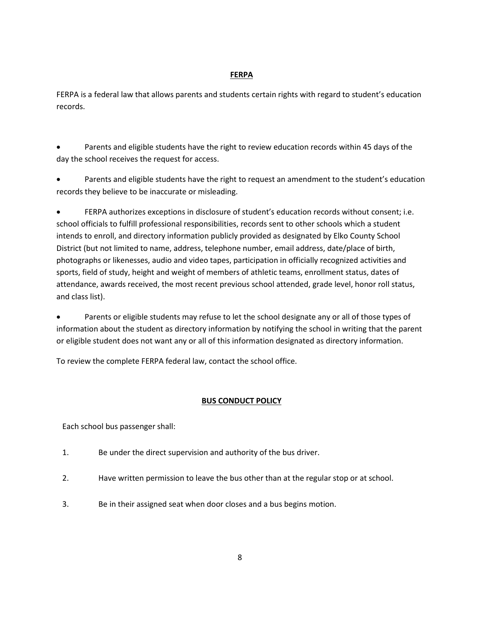## **FERPA**

FERPA is a federal law that allows parents and students certain rights with regard to student's education records.

• Parents and eligible students have the right to review education records within 45 days of the day the school receives the request for access.

• Parents and eligible students have the right to request an amendment to the student's education records they believe to be inaccurate or misleading.

• FERPA authorizes exceptions in disclosure of student's education records without consent; i.e. school officials to fulfill professional responsibilities, records sent to other schools which a student intends to enroll, and directory information publicly provided as designated by Elko County School District (but not limited to name, address, telephone number, email address, date/place of birth, photographs or likenesses, audio and video tapes, participation in officially recognized activities and sports, field of study, height and weight of members of athletic teams, enrollment status, dates of attendance, awards received, the most recent previous school attended, grade level, honor roll status, and class list).

• Parents or eligible students may refuse to let the school designate any or all of those types of information about the student as directory information by notifying the school in writing that the parent or eligible student does not want any or all of this information designated as directory information.

To review the complete FERPA federal law, contact the school office.

## **BUS CONDUCT POLICY**

Each school bus passenger shall:

- 1. Be under the direct supervision and authority of the bus driver.
- 2. Have written permission to leave the bus other than at the regular stop or at school.
- 3. Be in their assigned seat when door closes and a bus begins motion.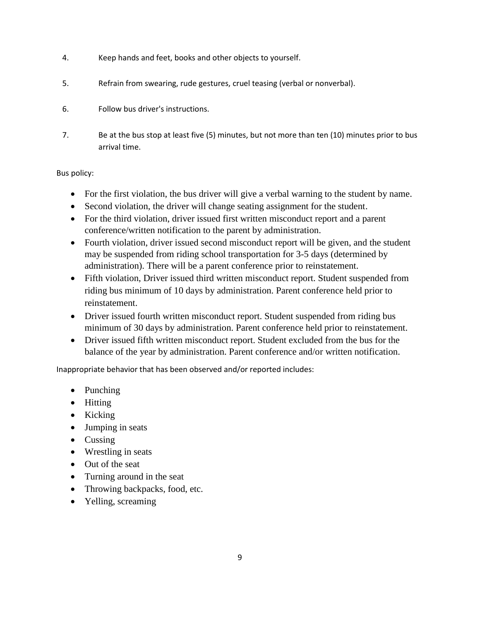- 4. Keep hands and feet, books and other objects to yourself.
- 5. Refrain from swearing, rude gestures, cruel teasing (verbal or nonverbal).
- 6. Follow bus driver's instructions.
- 7. Be at the bus stop at least five (5) minutes, but not more than ten (10) minutes prior to bus arrival time.

Bus policy:

- For the first violation, the bus driver will give a verbal warning to the student by name.
- Second violation, the driver will change seating assignment for the student.
- For the third violation, driver issued first written misconduct report and a parent conference/written notification to the parent by administration.
- Fourth violation, driver issued second misconduct report will be given, and the student may be suspended from riding school transportation for 3-5 days (determined by administration). There will be a parent conference prior to reinstatement.
- Fifth violation, Driver issued third written misconduct report. Student suspended from riding bus minimum of 10 days by administration. Parent conference held prior to reinstatement.
- Driver issued fourth written misconduct report. Student suspended from riding bus minimum of 30 days by administration. Parent conference held prior to reinstatement.
- Driver issued fifth written misconduct report. Student excluded from the bus for the balance of the year by administration. Parent conference and/or written notification.

Inappropriate behavior that has been observed and/or reported includes:

- Punching
- Hitting
- Kicking
- Jumping in seats
- Cussing
- Wrestling in seats
- Out of the seat
- Turning around in the seat
- Throwing backpacks, food, etc.
- Yelling, screaming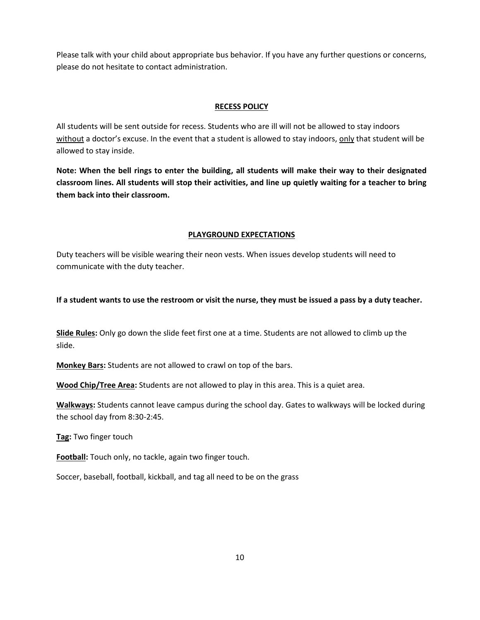Please talk with your child about appropriate bus behavior. If you have any further questions or concerns, please do not hesitate to contact administration.

## **RECESS POLICY**

All students will be sent outside for recess. Students who are ill will not be allowed to stay indoors without a doctor's excuse. In the event that a student is allowed to stay indoors, only that student will be allowed to stay inside.

**Note: When the bell rings to enter the building, all students will make their way to their designated classroom lines. All students will stop their activities, and line up quietly waiting for a teacher to bring them back into their classroom.** 

## **PLAYGROUND EXPECTATIONS**

Duty teachers will be visible wearing their neon vests. When issues develop students will need to communicate with the duty teacher.

# **If a student wants to use the restroom or visit the nurse, they must be issued a pass by a duty teacher.**

**Slide Rules:** Only go down the slide feet first one at a time. Students are not allowed to climb up the slide.

**Monkey Bars:** Students are not allowed to crawl on top of the bars.

**Wood Chip/Tree Area:** Students are not allowed to play in this area. This is a quiet area.

**Walkways:** Students cannot leave campus during the school day. Gates to walkways will be locked during the school day from 8:30-2:45.

**Tag:** Two finger touch

**Football:** Touch only, no tackle, again two finger touch.

Soccer, baseball, football, kickball, and tag all need to be on the grass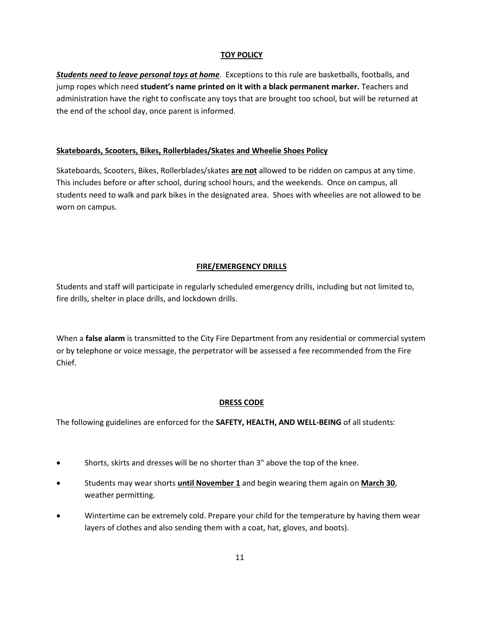# **TOY POLICY**

*Students need to leave personal toys at home*. Exceptions to this rule are basketballs, footballs, and jump ropes which need **student's name printed on it with a black permanent marker.** Teachers and administration have the right to confiscate any toys that are brought too school, but will be returned at the end of the school day, once parent is informed.

## **Skateboards, Scooters, Bikes, Rollerblades/Skates and Wheelie Shoes Policy**

Skateboards, Scooters, Bikes, Rollerblades/skates **are not** allowed to be ridden on campus at any time. This includes before or after school, during school hours, and the weekends. Once on campus, all students need to walk and park bikes in the designated area. Shoes with wheelies are not allowed to be worn on campus.

## **FIRE/EMERGENCY DRILLS**

Students and staff will participate in regularly scheduled emergency drills, including but not limited to, fire drills, shelter in place drills, and lockdown drills.

When a **false alarm** is transmitted to the City Fire Department from any residential or commercial system or by telephone or voice message, the perpetrator will be assessed a fee recommended from the Fire Chief.

# **DRESS CODE**

The following guidelines are enforced for the **SAFETY, HEALTH, AND WELL-BEING** of all students:

- Shorts, skirts and dresses will be no shorter than 3" above the top of the knee.
- Students may wear shorts **until November 1** and begin wearing them again on **March 30**, weather permitting.
- Wintertime can be extremely cold. Prepare your child for the temperature by having them wear layers of clothes and also sending them with a coat, hat, gloves, and boots).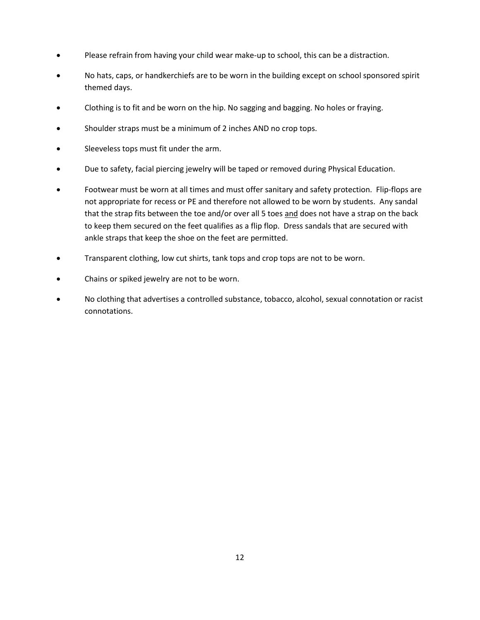- Please refrain from having your child wear make-up to school, this can be a distraction.
- No hats, caps, or handkerchiefs are to be worn in the building except on school sponsored spirit themed days.
- Clothing is to fit and be worn on the hip. No sagging and bagging. No holes or fraying.
- Shoulder straps must be a minimum of 2 inches AND no crop tops.
- Sleeveless tops must fit under the arm.
- Due to safety, facial piercing jewelry will be taped or removed during Physical Education.
- Footwear must be worn at all times and must offer sanitary and safety protection. Flip-flops are not appropriate for recess or PE and therefore not allowed to be worn by students. Any sandal that the strap fits between the toe and/or over all 5 toes and does not have a strap on the back to keep them secured on the feet qualifies as a flip flop. Dress sandals that are secured with ankle straps that keep the shoe on the feet are permitted.
- Transparent clothing, low cut shirts, tank tops and crop tops are not to be worn.
- Chains or spiked jewelry are not to be worn.
- No clothing that advertises a controlled substance, tobacco, alcohol, sexual connotation or racist connotations.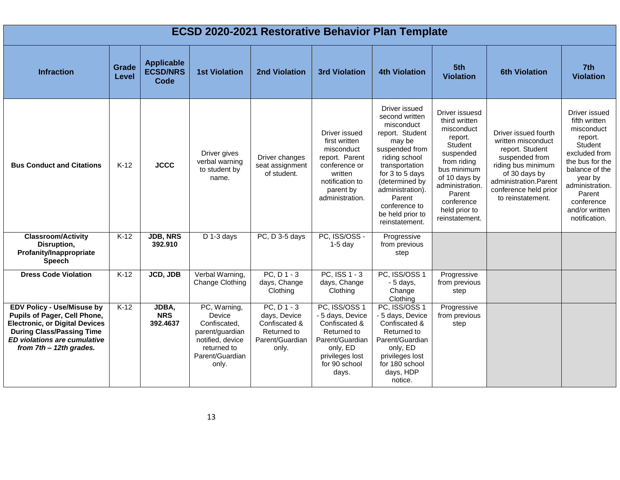| <b>ECSD 2020-2021 Restorative Behavior Plan Template</b>                                                                                                                                                    |                |                                                     |                                                                                                                          |                                                                                        |                                                                                                                                               |                                                                                                                                                                                                                                                           |                                                                                                                                                                                                               |                                                                                                                                                                                               |                                                                                                                                                                                                                          |  |
|-------------------------------------------------------------------------------------------------------------------------------------------------------------------------------------------------------------|----------------|-----------------------------------------------------|--------------------------------------------------------------------------------------------------------------------------|----------------------------------------------------------------------------------------|-----------------------------------------------------------------------------------------------------------------------------------------------|-----------------------------------------------------------------------------------------------------------------------------------------------------------------------------------------------------------------------------------------------------------|---------------------------------------------------------------------------------------------------------------------------------------------------------------------------------------------------------------|-----------------------------------------------------------------------------------------------------------------------------------------------------------------------------------------------|--------------------------------------------------------------------------------------------------------------------------------------------------------------------------------------------------------------------------|--|
| <b>Infraction</b>                                                                                                                                                                                           | Grade<br>Level | <b>Applicable</b><br><b>ECSD/NRS</b><br><b>Code</b> | <b>1st Violation</b>                                                                                                     | <b>2nd Violation</b>                                                                   | <b>3rd Violation</b>                                                                                                                          | <b>4th Violation</b>                                                                                                                                                                                                                                      | 5th<br><b>Violation</b>                                                                                                                                                                                       | <b>6th Violation</b>                                                                                                                                                                          | 7th<br><b>Violation</b>                                                                                                                                                                                                  |  |
| <b>Bus Conduct and Citations</b>                                                                                                                                                                            | $K-12$         | <b>JCCC</b>                                         | Driver gives<br>verbal warning<br>to student by<br>name.                                                                 | Driver changes<br>seat assignment<br>of student.                                       | Driver issued<br>first written<br>misconduct<br>report. Parent<br>conference or<br>written<br>notification to<br>parent by<br>administration. | Driver issued<br>second written<br>misconduct<br>report. Student<br>may be<br>suspended from<br>riding school<br>transportation<br>for 3 to 5 days<br>(determined by<br>administration).<br>Parent<br>conference to<br>be held prior to<br>reinstatement. | Driver issuesd<br>third written<br>misconduct<br>report.<br>Student<br>suspended<br>from riding<br>bus minimum<br>of 10 days by<br>administration.<br>Parent<br>conference<br>held prior to<br>reinstatement. | Driver issued fourth<br>written misconduct<br>report. Student<br>suspended from<br>riding bus minimum<br>of 30 days by<br>administration.Parent<br>conference held prior<br>to reinstatement. | Driver issued<br>fifth written<br>misconduct<br>report.<br><b>Student</b><br>excluded from<br>the bus for the<br>balance of the<br>year by<br>administration.<br>Parent<br>conference<br>and/or written<br>notification. |  |
| <b>Classroom/Activity</b><br>Disruption,<br>Profanity/Inappropriate<br><b>Speech</b>                                                                                                                        | $K-12$         | <b>JDB, NRS</b><br>392.910                          | $D$ 1-3 days                                                                                                             | PC, D 3-5 days                                                                         | PC, ISS/OSS -<br>$1-5$ day                                                                                                                    | Progressive<br>from previous<br>step                                                                                                                                                                                                                      |                                                                                                                                                                                                               |                                                                                                                                                                                               |                                                                                                                                                                                                                          |  |
| <b>Dress Code Violation</b>                                                                                                                                                                                 | $K-12$         | JCD, JDB                                            | Verbal Warning,<br>Change Clothing                                                                                       | $PC, D1-3$<br>days, Change<br>Clothing                                                 | PC, ISS 1 - 3<br>days, Change<br>Clothing                                                                                                     | PC, ISS/OSS 1<br>$-5$ days,<br>Change<br>Clothing                                                                                                                                                                                                         | Progressive<br>from previous<br>step                                                                                                                                                                          |                                                                                                                                                                                               |                                                                                                                                                                                                                          |  |
| <b>EDV Policy - Use/Misuse by</b><br>Pupils of Pager, Cell Phone,<br><b>Electronic, or Digital Devices</b><br><b>During Class/Passing Time</b><br>ED violations are cumulative<br>from $7th - 12th$ grades. | $K-12$         | JDBA,<br><b>NRS</b><br>392.4637                     | PC, Warning,<br>Device<br>Confiscated.<br>parent/guardian<br>notified, device<br>returned to<br>Parent/Guardian<br>only. | $PC, D1-3$<br>days, Device<br>Confiscated &<br>Returned to<br>Parent/Guardian<br>only. | PC, ISS/OSS 1<br>- 5 days, Device<br>Confiscated &<br>Returned to<br>Parent/Guardian<br>only, ED<br>privileges lost<br>for 90 school<br>days. | PC, ISS/OSS 1<br>- 5 days, Device<br>Confiscated &<br>Returned to<br>Parent/Guardian<br>only, ED<br>privileges lost<br>for 180 school<br>days, HDP<br>notice.                                                                                             | Progressive<br>from previous<br>step                                                                                                                                                                          |                                                                                                                                                                                               |                                                                                                                                                                                                                          |  |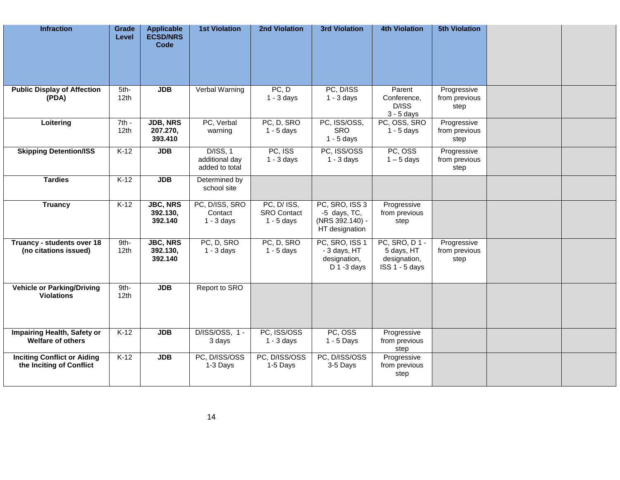| <b>Infraction</b>                                              | Grade<br>Level              | <b>Applicable</b><br><b>ECSD/NRS</b><br>Code | <b>1st Violation</b>                         | 2nd Violation                                     | <b>3rd Violation</b>                                                | <b>4th Violation</b>                                                | <b>5th Violation</b>                 |  |
|----------------------------------------------------------------|-----------------------------|----------------------------------------------|----------------------------------------------|---------------------------------------------------|---------------------------------------------------------------------|---------------------------------------------------------------------|--------------------------------------|--|
| <b>Public Display of Affection</b><br>(PDA)                    | 5th-<br>12 <sub>th</sub>    | <b>JDB</b>                                   | Verbal Warning                               | PC, D<br>$1 - 3$ days                             | PC, D/ISS<br>$1 - 3$ days                                           | Parent<br>Conference,<br>D/ISS<br>$3 - 5$ days                      | Progressive<br>from previous<br>step |  |
| Loitering                                                      | $7th -$<br>12 <sub>th</sub> | <b>JDB, NRS</b><br>207.270,<br>393.410       | PC, Verbal<br>warning                        | PC, D, SRO<br>$1 - 5$ days                        | PC, ISS/OSS,<br><b>SRO</b><br>$1 - 5$ days                          | PC, OSS, SRO<br>$1 - 5$ days                                        | Progressive<br>from previous<br>step |  |
| <b>Skipping Detention/ISS</b>                                  | $K-12$                      | <b>JDB</b>                                   | D/ISS, 1<br>additional day<br>added to total | PC, ISS<br>$1 - 3$ days                           | PC, ISS/OSS<br>$1 - 3$ days                                         | PC, OSS<br>$1 - 5$ days                                             | Progressive<br>from previous<br>step |  |
| <b>Tardies</b>                                                 | $K-12$                      | <b>JDB</b>                                   | Determined by<br>school site                 |                                                   |                                                                     |                                                                     |                                      |  |
| <b>Truancy</b>                                                 | $K-12$                      | <b>JBC, NRS</b><br>392.130,<br>392.140       | PC, D/ISS, SRO<br>Contact<br>$1 - 3$ days    | PC, D/ ISS,<br><b>SRO</b> Contact<br>$1 - 5$ days | PC, SRO, ISS 3<br>-5 days, TC,<br>(NRS 392.140) -<br>HT designation | Progressive<br>from previous<br>step                                |                                      |  |
| Truancy - students over 18<br>(no citations issued)            | 9th-<br>12 <sub>th</sub>    | <b>JBC, NRS</b><br>392.130,<br>392.140       | PC, D, SRO<br>$1 - 3$ days                   | PC, D, SRO<br>$1 - 5$ days                        | PC, SRO, ISS 1<br>- 3 days, HT<br>designation,<br>$D$ 1 -3 days     | <b>PC, SRO, D1-</b><br>5 days, HT<br>designation,<br>ISS 1 - 5 days | Progressive<br>from previous<br>step |  |
| <b>Vehicle or Parking/Driving</b><br><b>Violations</b>         | 9th-<br>12 <sub>th</sub>    | <b>JDB</b>                                   | Report to SRO                                |                                                   |                                                                     |                                                                     |                                      |  |
| Impairing Health, Safety or<br><b>Welfare of others</b>        | $K-12$                      | <b>JDB</b>                                   | D/ISS/OSS, 1 -<br>3 days                     | PC, ISS/OSS<br>$1 - 3$ days                       | PC, OSS<br>$1 - 5$ Days                                             | Progressive<br>from previous<br>step                                |                                      |  |
| <b>Inciting Conflict or Aiding</b><br>the Inciting of Conflict | $K-12$                      | <b>JDB</b>                                   | PC, D/ISS/OSS<br>1-3 Days                    | PC, D/ISS/OSS<br>1-5 Days                         | PC, D/ISS/OSS<br>3-5 Days                                           | Progressive<br>from previous<br>step                                |                                      |  |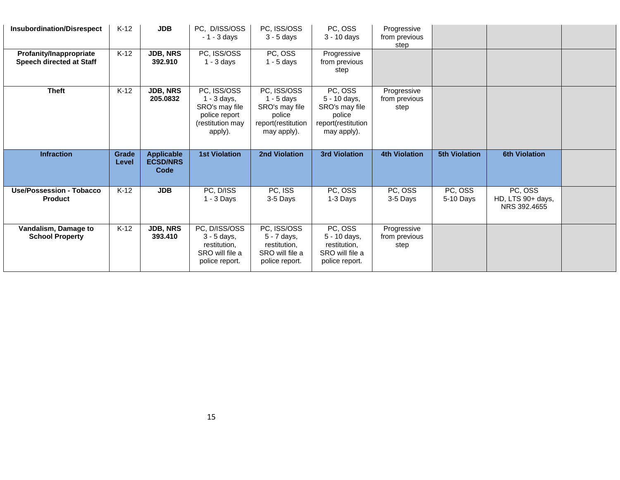| <b>Insubordination/Disrespect</b>                   | $K-12$         | <b>JDB</b>                                   | PC, D/ISS/OSS<br>$-1 - 3$ days                                                                 | PC, ISS/OSS<br>$3 - 5$ days                                                                  | PC, OSS<br>$3 - 10$ days                                                                 | Progressive<br>from previous<br>step |                      |                                              |  |
|-----------------------------------------------------|----------------|----------------------------------------------|------------------------------------------------------------------------------------------------|----------------------------------------------------------------------------------------------|------------------------------------------------------------------------------------------|--------------------------------------|----------------------|----------------------------------------------|--|
| Profanity/Inappropriate<br>Speech directed at Staff | $K-12$         | <b>JDB, NRS</b><br>392.910                   | PC, ISS/OSS<br>$1 - 3$ days                                                                    | PC, OSS<br>$1 - 5$ days                                                                      | Progressive<br>from previous<br>step                                                     |                                      |                      |                                              |  |
| <b>Theft</b>                                        | $K-12$         | <b>JDB, NRS</b><br>205.0832                  | PC, ISS/OSS<br>$1 - 3$ days,<br>SRO's may file<br>police report<br>(restitution may<br>apply). | PC, ISS/OSS<br>$1 - 5$ days<br>SRO's may file<br>police<br>report(restitution<br>may apply). | PC, OSS<br>5 - 10 days,<br>SRO's may file<br>police<br>report(restitution<br>may apply). | Progressive<br>from previous<br>step |                      |                                              |  |
|                                                     |                |                                              |                                                                                                |                                                                                              |                                                                                          |                                      |                      |                                              |  |
| <b>Infraction</b>                                   | Grade<br>Level | <b>Applicable</b><br><b>ECSD/NRS</b><br>Code | <b>1st Violation</b>                                                                           | 2nd Violation                                                                                | <b>3rd Violation</b>                                                                     | <b>4th Violation</b>                 | <b>5th Violation</b> | <b>6th Violation</b>                         |  |
| Use/Possession - Tobacco<br><b>Product</b>          | $K-12$         | <b>JDB</b>                                   | PC, D/ISS<br>$1 - 3$ Days                                                                      | PC, ISS<br>3-5 Days                                                                          | PC, OSS<br>1-3 Days                                                                      | PC, OSS<br>3-5 Days                  | PC, OSS<br>5-10 Days | PC, OSS<br>HD, LTS 90+ days,<br>NRS 392,4655 |  |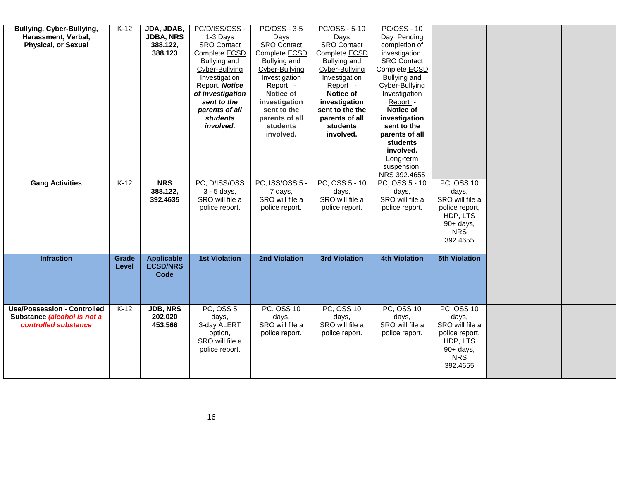| Bullying, Cyber-Bullying,<br>Harassment, Verbal,<br><b>Physical, or Sexual</b> | $K-12$         | JDA, JDAB,<br><b>JDBA, NRS</b><br>388.122,<br>388.123 | PC/D/ISS/OSS -<br>1-3 Days<br><b>SRO Contact</b><br>Complete ECSD<br><b>Bullying and</b><br>Cyber-Bullying<br>Investigation<br>Report. Notice<br>of investigation<br>sent to the<br>parents of all<br>students<br>involved. | PC/OSS - 3-5<br>Days<br><b>SRO Contact</b><br>Complete ECSD<br><b>Bullying and</b><br>Cyber-Bullying<br>Investigation<br>Report -<br><b>Notice of</b><br>investigation<br>sent to the<br>parents of all<br>students<br>involved. | PC/OSS - 5-10<br>Days<br><b>SRO</b> Contact<br>Complete ECSD<br><b>Bullying and</b><br>Cyber-Bullying<br>Investigation<br>Report -<br>Notice of<br>investigation<br>sent to the the<br>parents of all<br>students<br>involved. | <b>PC/OSS - 10</b><br>Day Pending<br>completion of<br>investigation.<br><b>SRO</b> Contact<br>Complete ECSD<br><b>Bullying and</b><br>Cyber-Bullying<br>Investigation<br>Report -<br>Notice of<br>investigation<br>sent to the<br>parents of all<br>students<br>involved.<br>Long-term<br>suspension,<br>NRS 392.4655 |                                                                                               |  |
|--------------------------------------------------------------------------------|----------------|-------------------------------------------------------|-----------------------------------------------------------------------------------------------------------------------------------------------------------------------------------------------------------------------------|----------------------------------------------------------------------------------------------------------------------------------------------------------------------------------------------------------------------------------|--------------------------------------------------------------------------------------------------------------------------------------------------------------------------------------------------------------------------------|-----------------------------------------------------------------------------------------------------------------------------------------------------------------------------------------------------------------------------------------------------------------------------------------------------------------------|-----------------------------------------------------------------------------------------------|--|
| <b>Gang Activities</b>                                                         | $K-12$         | <b>NRS</b><br>388.122,                                | PC, D/ISS/OSS<br>3 - 5 days,                                                                                                                                                                                                | PC, ISS/OSS 5 -<br>7 days,                                                                                                                                                                                                       | PC, OSS $5 - 10$<br>days,                                                                                                                                                                                                      | PC, OSS 5 - 10<br>days,                                                                                                                                                                                                                                                                                               | <b>PC, OSS 10</b><br>days,                                                                    |  |
|                                                                                |                | 392.4635                                              | SRO will file a                                                                                                                                                                                                             | SRO will file a                                                                                                                                                                                                                  | SRO will file a                                                                                                                                                                                                                | SRO will file a                                                                                                                                                                                                                                                                                                       | SRO will file a                                                                               |  |
|                                                                                |                |                                                       | police report.                                                                                                                                                                                                              | police report.                                                                                                                                                                                                                   | police report.                                                                                                                                                                                                                 | police report.                                                                                                                                                                                                                                                                                                        | police report,<br>HDP, LTS                                                                    |  |
|                                                                                |                |                                                       |                                                                                                                                                                                                                             |                                                                                                                                                                                                                                  |                                                                                                                                                                                                                                |                                                                                                                                                                                                                                                                                                                       | 90+ days,                                                                                     |  |
|                                                                                |                |                                                       |                                                                                                                                                                                                                             |                                                                                                                                                                                                                                  |                                                                                                                                                                                                                                |                                                                                                                                                                                                                                                                                                                       | <b>NRS</b>                                                                                    |  |
|                                                                                |                |                                                       |                                                                                                                                                                                                                             |                                                                                                                                                                                                                                  |                                                                                                                                                                                                                                |                                                                                                                                                                                                                                                                                                                       | 392.4655                                                                                      |  |
| <b>Infraction</b>                                                              | Grade<br>Level | <b>Applicable</b><br><b>ECSD/NRS</b><br>Code          | <b>1st Violation</b>                                                                                                                                                                                                        | <b>2nd Violation</b>                                                                                                                                                                                                             | <b>3rd Violation</b>                                                                                                                                                                                                           | <b>4th Violation</b>                                                                                                                                                                                                                                                                                                  | <b>5th Violation</b>                                                                          |  |
| <b>Use/Possession - Controlled</b>                                             | $K-12$         | <b>JDB, NRS</b>                                       | PC, OSS 5                                                                                                                                                                                                                   | <b>PC, OSS 10</b>                                                                                                                                                                                                                | <b>PC, OSS 10</b>                                                                                                                                                                                                              | <b>PC, OSS 10</b>                                                                                                                                                                                                                                                                                                     | <b>PC, OSS 10</b>                                                                             |  |
| Substance (alcohol is not a<br>controlled substance                            |                | 202.020<br>453.566                                    | days,<br>3-day ALERT<br>option,<br>SRO will file a<br>police report.                                                                                                                                                        | days,<br>SRO will file a<br>police report.                                                                                                                                                                                       | days,<br>SRO will file a<br>police report.                                                                                                                                                                                     | days,<br>SRO will file a<br>police report.                                                                                                                                                                                                                                                                            | days,<br>SRO will file a<br>police report,<br>HDP, LTS<br>90+ days,<br><b>NRS</b><br>392.4655 |  |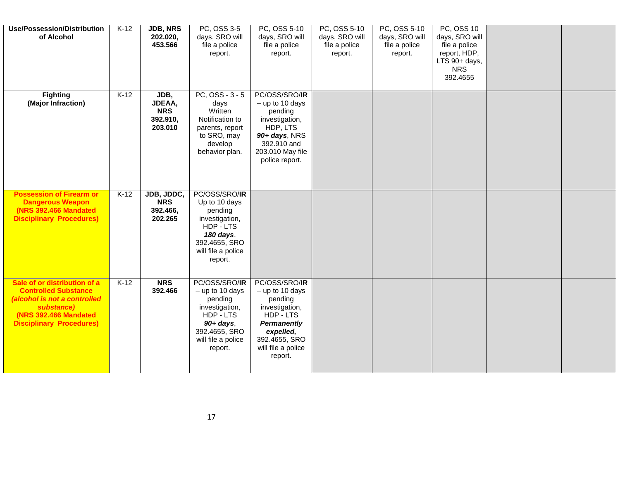| <b>Use/Possession/Distribution</b><br>of Alcohol                                                                                                                      | $K-12$ | <b>JDB, NRS</b><br>202.020,<br>453.566              | PC, OSS 3-5<br>days, SRO will<br>file a police<br>report.                                                                                      | PC, OSS 5-10<br>days, SRO will<br>file a police<br>report.                                                                                                      | PC, OSS 5-10<br>days, SRO will<br>file a police<br>report. | PC, OSS 5-10<br>days, SRO will<br>file a police<br>report. | PC, OSS 10<br>days, SRO will<br>file a police<br>report, HDP,<br>LTS 90+ days,<br><b>NRS</b><br>392.4655 |  |
|-----------------------------------------------------------------------------------------------------------------------------------------------------------------------|--------|-----------------------------------------------------|------------------------------------------------------------------------------------------------------------------------------------------------|-----------------------------------------------------------------------------------------------------------------------------------------------------------------|------------------------------------------------------------|------------------------------------------------------------|----------------------------------------------------------------------------------------------------------|--|
| <b>Fighting</b><br>(Major Infraction)                                                                                                                                 | $K-12$ | JDB,<br>JDEAA,<br><b>NRS</b><br>392.910,<br>203.010 | $PC, OSS - 3 - 5$<br>days<br>Written<br>Notification to<br>parents, report<br>to SRO, may<br>develop<br>behavior plan.                         | PC/OSS/SRO/IR<br>$-$ up to 10 days<br>pending<br>investigation,<br>HDP, LTS<br>90+ days, NRS<br>392.910 and<br>203.010 May file<br>police report.               |                                                            |                                                            |                                                                                                          |  |
| <b>Possession of Firearm or</b><br><b>Dangerous Weapon</b><br><b>(NRS 392.466 Mandated)</b><br><b>Disciplinary Procedures)</b>                                        | $K-12$ | JDB, JDDC,<br><b>NRS</b><br>392.466,<br>202.265     | PC/OSS/SRO/IR<br>Up to 10 days<br>pending<br>investigation,<br>HDP - LTS<br>180 days,<br>392.4655, SRO<br>will file a police<br>report.        |                                                                                                                                                                 |                                                            |                                                            |                                                                                                          |  |
| Sale of or distribution of a<br><b>Controlled Substance</b><br>(alcohol is not a controlled<br>substance)<br>(NRS 392.466 Mandated<br><b>Disciplinary Procedures)</b> | $K-12$ | <b>NRS</b><br>392.466                               | PC/OSS/SRO/IR<br>$-$ up to 10 days<br>pending<br>investigation,<br>HDP - LTS<br>$90+ days$ ,<br>392.4655, SRO<br>will file a police<br>report. | PC/OSS/SRO/IR<br>$-$ up to 10 days<br>pending<br>investigation,<br>HDP-LTS<br><b>Permanently</b><br>expelled,<br>392.4655, SRO<br>will file a police<br>report. |                                                            |                                                            |                                                                                                          |  |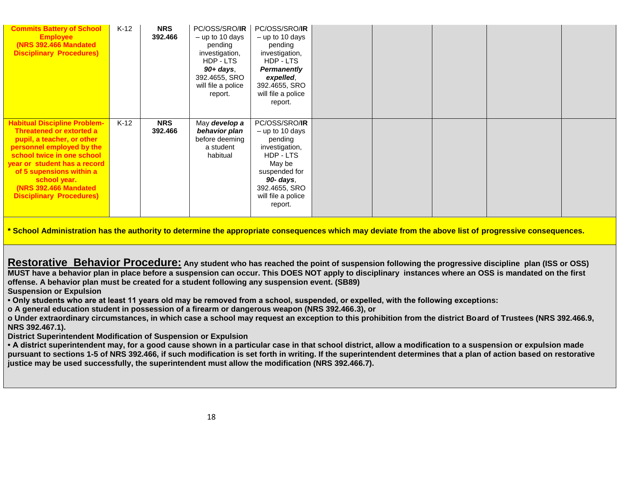| <b>Commits Battery of School</b><br><b>Employee</b><br><b>(NRS 392.466 Mandated)</b><br><b>Disciplinary Procedures)</b>                                                                                                                                                                                  | $K-12$ | <b>NRS</b><br>392.466 | PC/OSS/SRO/ <b>IR</b><br>$-$ up to 10 days<br>pending<br>investigation,<br>HDP - LTS<br>$90+$ days,<br>392.4655, SRO<br>will file a police<br>report. | PC/OSS/SRO/IR<br>$-$ up to 10 days<br>pending<br>investigation,<br>HDP - LTS<br><b>Permanently</b><br>expelled,<br>392.4655, SRO<br>will file a police<br>report.              |  |  |  |
|----------------------------------------------------------------------------------------------------------------------------------------------------------------------------------------------------------------------------------------------------------------------------------------------------------|--------|-----------------------|-------------------------------------------------------------------------------------------------------------------------------------------------------|--------------------------------------------------------------------------------------------------------------------------------------------------------------------------------|--|--|--|
| <b>Habitual Discipline Problem-</b><br>Threatened or extorted a<br>pupil, a teacher, or other<br>personnel employed by the<br>school twice in one school<br>year or student has a record<br>of 5 supensions within a<br>school year.<br><b>(NRS 392.466 Mandated)</b><br><b>Disciplinary Procedures)</b> | $K-12$ | <b>NRS</b><br>392.466 | May develop a<br>behavior plan<br>before deeming<br>a student<br>habitual                                                                             | PC/OSS/SRO/ <b>IR</b><br>$-$ up to 10 days<br>pending<br>investigation,<br>HDP - LTS<br>May be<br>suspended for<br>90- days,<br>392.4655, SRO<br>will file a police<br>report. |  |  |  |

**\* School Administration has the authority to determine the appropriate consequences which may deviate from the above list of progressive consequences.** 

**Restorative Behavior Procedure: Any student who has reached the point of suspension following the progressive discipline plan (ISS or OSS) MUST have a behavior plan in place before a suspension can occur. This DOES NOT apply to disciplinary instances where an OSS is mandated on the first offense. A behavior plan must be created for a student following any suspension event. (SB89)** 

**Suspension or Expulsion**

**• Only students who are at least 11 years old may be removed from a school, suspended, or expelled, with the following exceptions:**

**o A general education student in possession of a firearm or dangerous weapon (NRS 392.466.3), or**

**o Under extraordinary circumstances, in which case a school may request an exception to this prohibition from the district Board of Trustees (NRS 392.466.9, NRS 392.467.1).**

**District Superintendent Modification of Suspension or Expulsion**

**• A district superintendent may, for a good cause shown in a particular case in that school district, allow a modification to a suspension or expulsion made pursuant to sections 1-5 of NRS 392.466, if such modification is set forth in writing. If the superintendent determines that a plan of action based on restorative justice may be used successfully, the superintendent must allow the modification (NRS 392.466.7).**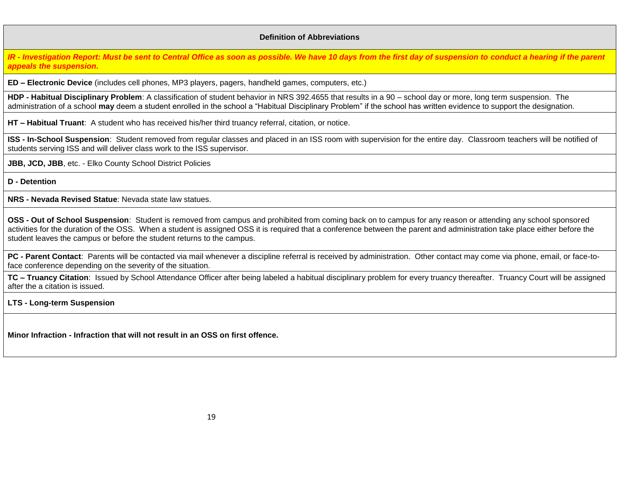#### **Definition of Abbreviations**

*IR - Investigation Report: Must be sent to Central Office as soon as possible. We have 10 days from the first day of suspension to conduct a hearing if the parent appeals the suspension.* 

**ED – Electronic Device** (includes cell phones, MP3 players, pagers, handheld games, computers, etc.)

**HDP - Habitual Disciplinary Problem**: A classification of student behavior in NRS 392.4655 that results in a 90 – school day or more, long term suspension. The administration of a school **may** deem a student enrolled in the school a "Habitual Disciplinary Problem" if the school has written evidence to support the designation.

**HT – Habitual Truant**: A student who has received his/her third truancy referral, citation, or notice.

**ISS - In-School Suspension**: Student removed from regular classes and placed in an ISS room with supervision for the entire day. Classroom teachers will be notified of students serving ISS and will deliver class work to the ISS supervisor.

**JBB, JCD, JBB**, etc. - Elko County School District Policies

**D - Detention**

**NRS - Nevada Revised Statue**: Nevada state law statues.

**OSS - Out of School Suspension**: Student is removed from campus and prohibited from coming back on to campus for any reason or attending any school sponsored activities for the duration of the OSS. When a student is assigned OSS it is required that a conference between the parent and administration take place either before the student leaves the campus or before the student returns to the campus.

**PC - Parent Contact**: Parents will be contacted via mail whenever a discipline referral is received by administration. Other contact may come via phone, email, or face-toface conference depending on the severity of the situation.

**TC – Truancy Citation**: Issued by School Attendance Officer after being labeled a habitual disciplinary problem for every truancy thereafter. Truancy Court will be assigned after the a citation is issued.

**LTS - Long-term Suspension** 

**Minor Infraction - Infraction that will not result in an OSS on first offence.**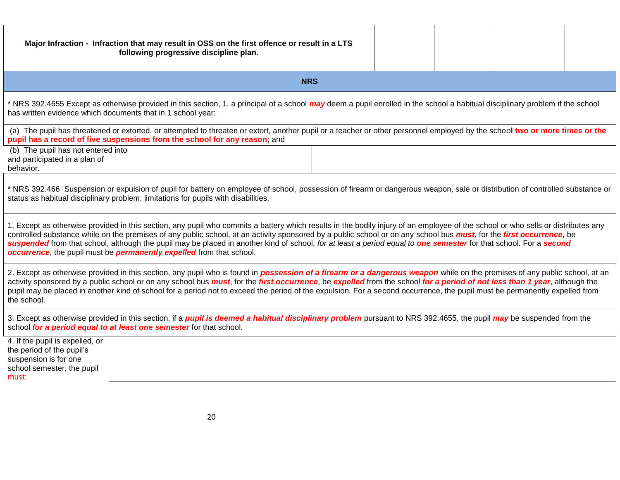| Major Infraction - Infraction that may result in OSS on the first offence or result in a LTS<br>following progressive discipline plan.                                                                                                                                                                                                                                                                                                                                                                                                                                                                               |  |  |
|----------------------------------------------------------------------------------------------------------------------------------------------------------------------------------------------------------------------------------------------------------------------------------------------------------------------------------------------------------------------------------------------------------------------------------------------------------------------------------------------------------------------------------------------------------------------------------------------------------------------|--|--|
| <b>NRS</b>                                                                                                                                                                                                                                                                                                                                                                                                                                                                                                                                                                                                           |  |  |
| * NRS 392.4655 Except as otherwise provided in this section, 1. a principal of a school may deem a pupil enrolled in the school a habitual disciplinary problem if the school<br>has written evidence which documents that in 1 school year:                                                                                                                                                                                                                                                                                                                                                                         |  |  |
| (a) The pupil has threatened or extorted, or attempted to threaten or extort, another pupil or a teacher or other personnel employed by the school two or more times or the<br>pupil has a record of five suspensions from the school for any reason; and                                                                                                                                                                                                                                                                                                                                                            |  |  |
| (b) The pupil has not entered into<br>and participated in a plan of<br>behavior.                                                                                                                                                                                                                                                                                                                                                                                                                                                                                                                                     |  |  |
| * NRS 392.466 Suspension or expulsion of pupil for battery on employee of school, possession of firearm or dangerous weapon, sale or distribution of controlled substance or<br>status as habitual disciplinary problem; limitations for pupils with disabilities.                                                                                                                                                                                                                                                                                                                                                   |  |  |
| 1. Except as otherwise provided in this section, any pupil who commits a battery which results in the bodily injury of an employee of the school or who sells or distributes any<br>controlled substance while on the premises of any public school, at an activity sponsored by a public school or on any school bus <i>must</i> , for the first occurrence, be<br>suspended from that school, although the pupil may be placed in another kind of school, for at least a period equal to one semester for that school. For a second<br>occurrence, the pupil must be <i>permanently expelled</i> from that school. |  |  |
| 2. Except as otherwise provided in this section, any pupil who is found in <b>possession of a firearm or a dangerous weapon</b> while on the premises of any public school, at an<br>activity sponsored by a public school or on any school bus <i>must</i> , for the <i>first occurrence</i> , be expelled from the school for a period of not less than 1 year, although the<br>pupil may be placed in another kind of school for a period not to exceed the period of the expulsion. For a second occurrence, the pupil must be permanently expelled from<br>the school.                                          |  |  |
| 3. Except as otherwise provided in this section, if a <i>pupil is deemed a habitual disciplinary problem</i> pursuant to NRS 392.4655, the pupil <i>may</i> be suspended from the<br>school for a period equal to at least one semester for that school.                                                                                                                                                                                                                                                                                                                                                             |  |  |
| 4. If the pupil is expelled, or<br>the period of the pupil's<br>suspension is for one<br>school semester, the pupil<br>must:                                                                                                                                                                                                                                                                                                                                                                                                                                                                                         |  |  |